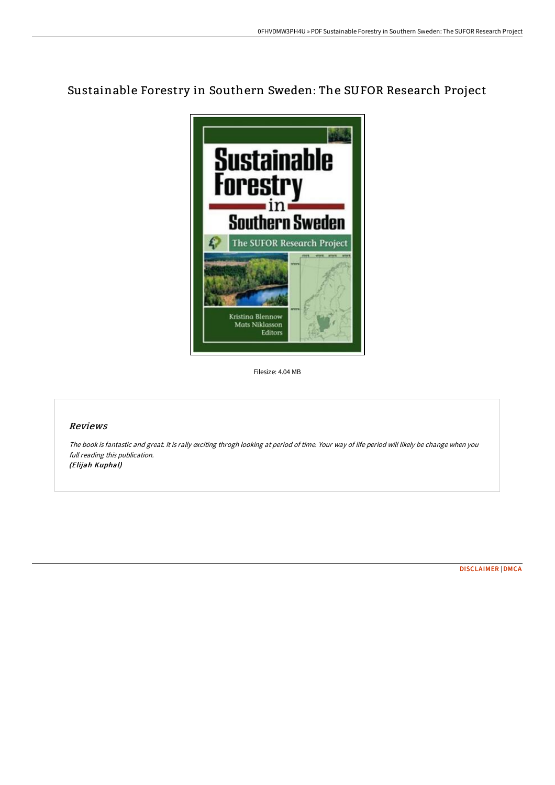## Sustainable Forestry in Southern Sweden: The SUFOR Research Project



Filesize: 4.04 MB

## Reviews

The book is fantastic and great. It is rally exciting throgh looking at period of time. Your way of life period will likely be change when you full reading this publication. (Elijah Kuphal)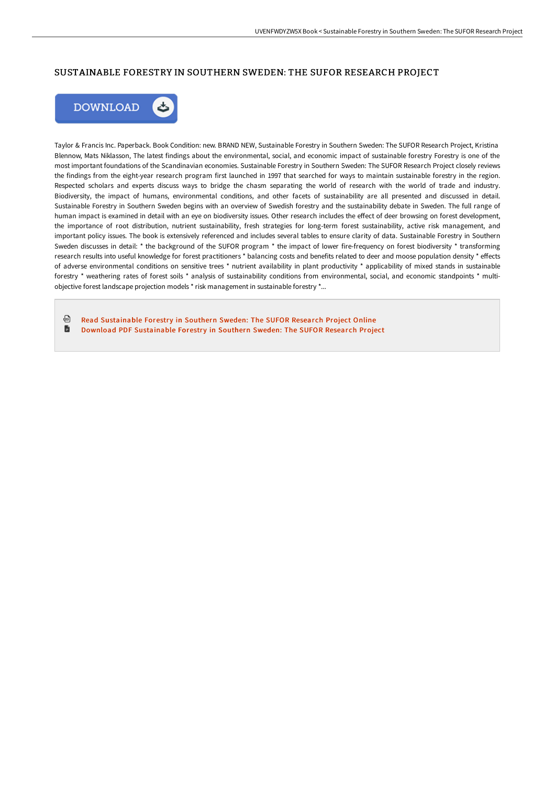## SUSTAINABLE FORESTRY IN SOUTHERN SWEDEN: THE SUFOR RESEARCH PROJECT



Taylor & Francis Inc. Paperback. Book Condition: new. BRAND NEW, Sustainable Forestry in Southern Sweden: The SUFOR Research Project, Kristina Blennow, Mats Niklasson, The latest findings about the environmental, social, and economic impact of sustainable forestry Forestry is one of the most important foundations of the Scandinavian economies. Sustainable Forestry in Southern Sweden: The SUFOR Research Project closely reviews the findings from the eight-year research program first launched in 1997 that searched for ways to maintain sustainable forestry in the region. Respected scholars and experts discuss ways to bridge the chasm separating the world of research with the world of trade and industry. Biodiversity, the impact of humans, environmental conditions, and other facets of sustainability are all presented and discussed in detail. Sustainable Forestry in Southern Sweden begins with an overview of Swedish forestry and the sustainability debate in Sweden. The full range of human impact is examined in detail with an eye on biodiversity issues. Other research includes the effect of deer browsing on forest development, the importance of root distribution, nutrient sustainability, fresh strategies for long-term forest sustainability, active risk management, and important policy issues. The book is extensively referenced and includes several tables to ensure clarity of data. Sustainable Forestry in Southern Sweden discusses in detail: \* the background of the SUFOR program \* the impact of lower fire-frequency on forest biodiversity \* transforming research results into useful knowledge for forest practitioners \* balancing costs and benefits related to deer and moose population density \* effects of adverse environmental conditions on sensitive trees \* nutrient availability in plant productivity \* applicability of mixed stands in sustainable forestry \* weathering rates of forest soils \* analysis of sustainability conditions from environmental, social, and economic standpoints \* multiobjective forest landscape projection models \* risk management in sustainable forestry \*...

品 Read [Sustainable](http://bookera.tech/sustainable-forestry-in-southern-sweden-the-sufo.html) Forestry in Southern Sweden: The SUFOR Research Project Online B Download PDF [Sustainable](http://bookera.tech/sustainable-forestry-in-southern-sweden-the-sufo.html) Forestry in Southern Sweden: The SUFOR Research Project